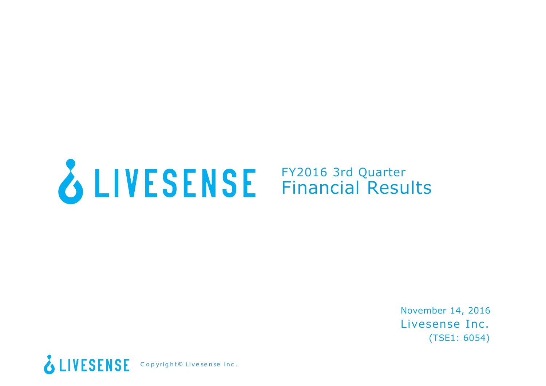# FY2016 3rd Quarter Financial Results

Livesense Inc. (TSE1: 6054) November 14, 2016

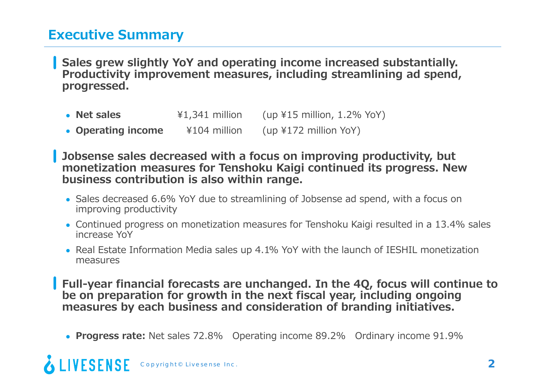# **Executive Summary**

**Sales grew slightly YoY and operating income increased substantially. Productivity improvement measures, including streamlining ad spend, progressed.**

**• Net sales**  ¥1,341 million (up ¥15 million, 1.2% YoY) **Operating income** ¥104 million (up ¥172 million YoY)

**Jobsense sales decreased with a focus on improving productivity, but monetization measures for Tenshoku Kaigi continued its progress. New business contribution is also within range.**

- Sales decreased 6.6% YoY due to streamlining of Jobsense ad spend, with a focus on improving productivity
- Continued progress on monetization measures for Tenshoku Kaigi resulted in a 13.4% sales increase YoY
- Real Estate Information Media sales up 4.1% YoY with the launch of IESHIL monetization measures

**Full-year financial forecasts are unchanged. In the 4Q, focus will continue to be on preparation for growth in the next fiscal year, including ongoing measures by each business and consideration of branding initiatives.**

**Progress rate:** Net sales 72.8% Operating income 89.2% Ordinary income 91.9%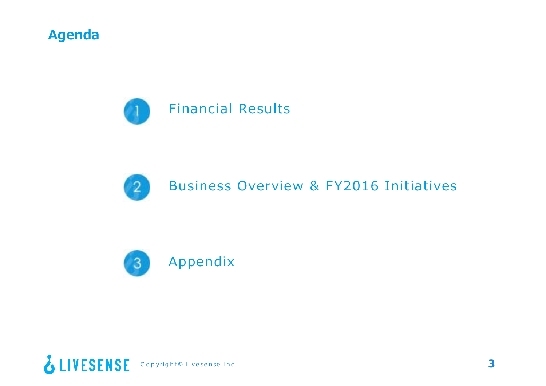



Business Overview & FY2016 Initiatives



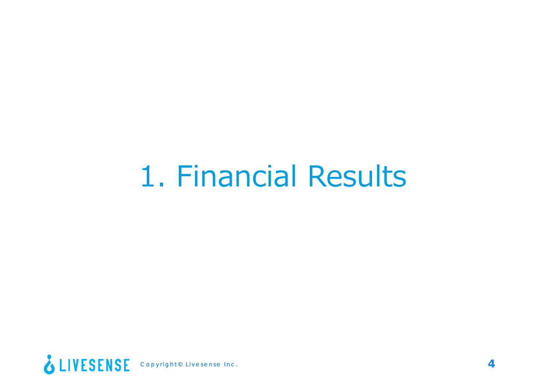# 1. Financial Results

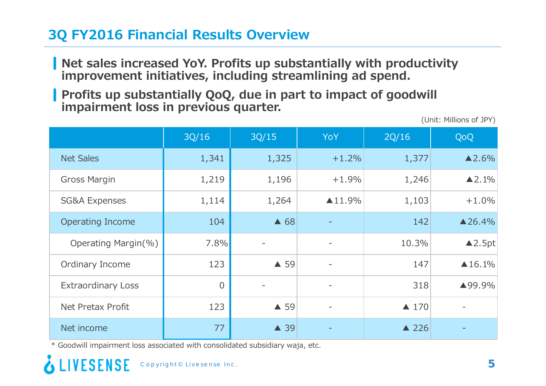# **3Q FY2016 Financial Results Overview**

- **Net sales increased YoY. Profits up substantially with productivity improvement initiatives, including streamlining ad spend.**
- **Profits up substantially QoQ, due in part to impact of goodwill impairment loss in previous quarter.**

(Unit: Millions of JPY)

|                           | 3Q/16          | 3Q/15          | YoY                      | 2Q/16           | QoQ                   |
|---------------------------|----------------|----------------|--------------------------|-----------------|-----------------------|
| <b>Net Sales</b>          | 1,341          | 1,325          | $+1.2%$                  | 1,377           | $\triangle$ 2.6%      |
| <b>Gross Margin</b>       | 1,219          | 1,196          | $+1.9%$                  | 1,246           | $\blacktriangle$ 2.1% |
| <b>SG&amp;A Expenses</b>  | 1,114          | 1,264          | $\blacktriangle$ 11.9%   | 1,103           | $+1.0%$               |
| <b>Operating Income</b>   | 104            | $\triangle$ 68 |                          | 142             | $\triangle 26.4\%$    |
| Operating Margin(%)       | 7.8%           |                | $\overline{\phantom{a}}$ | 10.3%           | $\triangle$ 2.5pt     |
| Ordinary Income           | 123            | ▲ 59           | $\overline{\phantom{a}}$ | 147             | $\triangle 16.1%$     |
| <b>Extraordinary Loss</b> | $\overline{0}$ |                |                          | 318             | ▲99.9%                |
| Net Pretax Profit         | 123            | ▲ 59           | $\overline{\phantom{a}}$ | $\triangle$ 170 |                       |
| Net income                | 77             | ▲ 39           |                          | $\triangle$ 226 |                       |

\* Goodwill impairment loss associated with consolidated subsidiary waja, etc.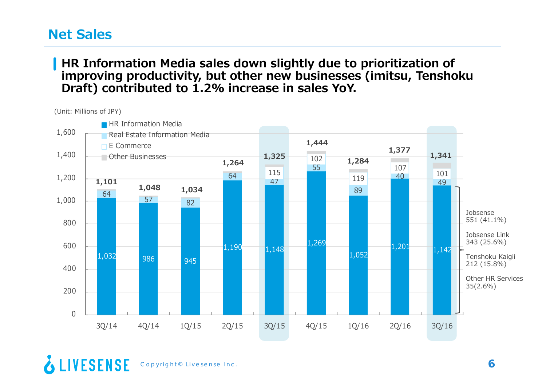## **Net Sales**

### **HR Information Media sales down slightly due to prioritization of improving productivity, but other new businesses (imitsu, Tenshoku Draft) contributed to 1.2% increase in sales YoY.**

(Unit: Millions of JPY)



<sup>&</sup>amp; LIVESENSE Copyright© Livesense Inc. **6**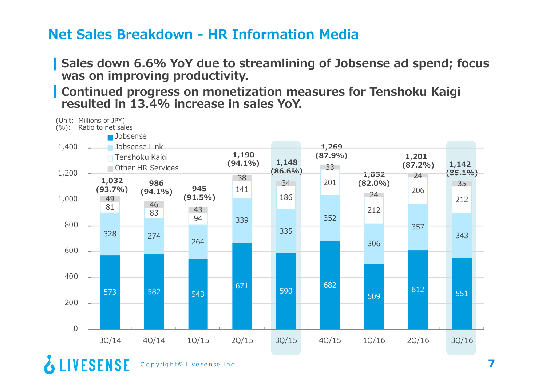## **Net Sales Breakdown - HR Information Media**

**Sales down 6.6% YoY due to streamlining of Jobsense ad spend; focus was on improving productivity.**

**Continued progress on monetization measures for Tenshoku Kaigi resulted in 13.4% increase in sales YoY.**

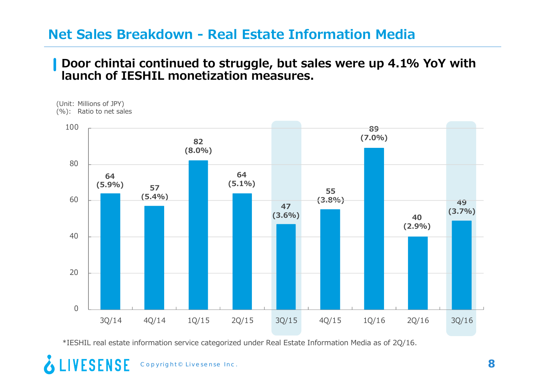## **Net Sales Breakdown - Real Estate Information Media**

### **Door chintai continued to struggle, but sales were up 4.1% YoY with launch of IESHIL monetization measures.**

<sup>(</sup>Unit: Millions of JPY) (%): Ratio to net sales



\*IESHIL real estate information service categorized under Real Estate Information Media as of 2Q/16.

### **LIVESENSE** Copyright© Livesense Inc. **8**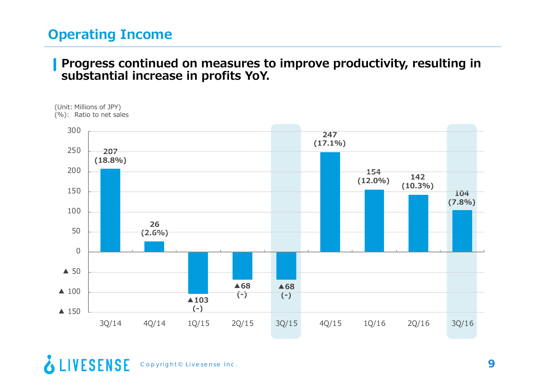# **Operating Income**

### **Progress continued on measures to improve productivity, resulting in substantial increase in profits YoY.**



<sup>&</sup>amp; LIVESENSE Copyright© Livesense Inc. **9**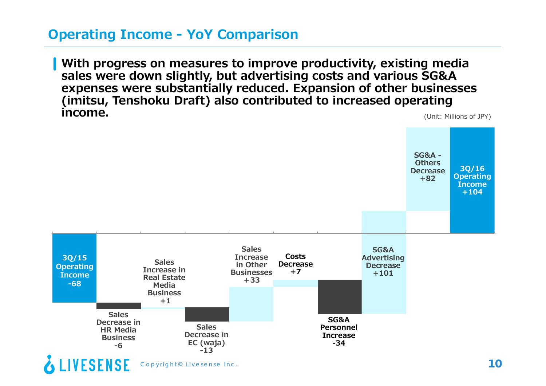# **Operating Income - YoY Comparison**

(Unit: Millions of JPY) **With progress on measures to improve productivity, existing media sales were down slightly, but advertising costs and various SG&A expenses were substantially reduced. Expansion of other businesses (imitsu, Tenshoku Draft) also contributed to increased operating income.**

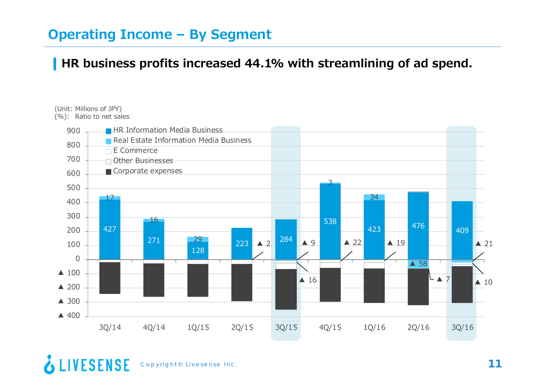# **Operating Income – By Segment**

### **HR business profits increased 44.1% with streamlining of ad spend.**

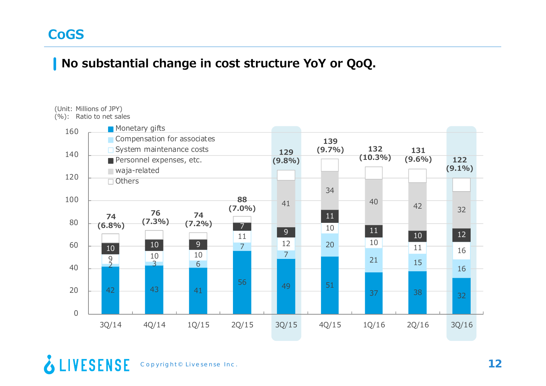### **No substantial change in cost structure YoY or QoQ.**

### (Unit: Millions of JPY)

(%): Ratio to net sales

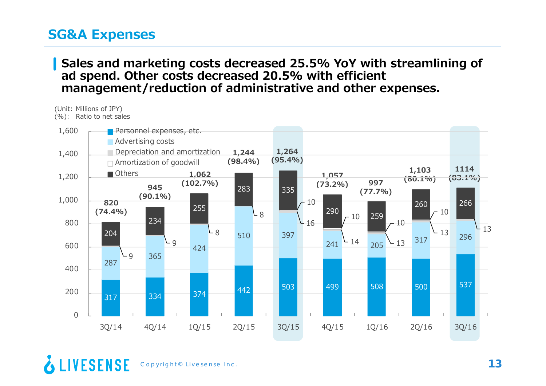## **SG&A Expenses**

(Unit: Millions of JPY)

### **Sales and marketing costs decreased 25.5% YoY with streamlining of ad spend. Other costs decreased 20.5% with efficient management/reduction of administrative and other expenses.**

**1,264 (95.4%) 1,057 (73.2%) 820(74.4%) 945(90.1%) 1,062 (102.7%) 1,244 (98.4%) 997(77.7%) 1,103 (80.1%) 1114(83.1%)** (%): Ratio to net sales 317 <sup>334</sup> <sup>374</sup> <sup>442</sup> <sup>503</sup> <sup>499</sup> <sup>508</sup> <sup>500</sup> <sup>537</sup> 287365424510 397 241 $1 - 14$  205  $-13$  $\frac{13}{317}$   $\frac{317}{12}$   $\frac{296}{12}$  $-9$ - 9  $L_{8}$ L 8  $-16$ 14 $\sim$  13  $296$   $-13$  $-10$  $^{-10}$  259  $-10$  $-10$ 204234 255283 335290260 266  $\Omega$ 2004006008001,000 1,200 1,400 1,600 3Q/14 4Q/14 1Q/15 2Q/15 3Q/15 4Q/15 1Q/16 2Q/16 3Q/16 **Personnel expenses, etc. Advertising costs Depreciation and amortization** Amortization of goodwill Others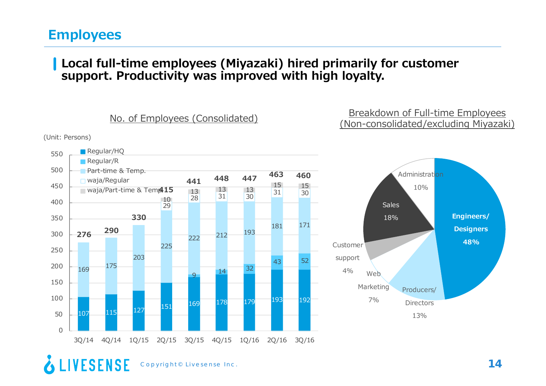### **Employees**

**LIVESENSE** 

### **Local full-time employees (Miyazaki) hired primarily for customer support. Productivity was improved with high loyalty.**

**Engineers/ Designers 48%**Producers/ Directors13%Web Marketing 7%Customersupport 4%Sales18%Administration10%107 <sup>115</sup> <sup>127</sup> <sup>151</sup> <sup>169</sup> <sup>178</sup> <sup>179</sup> <sup>193</sup> <sup>192</sup> 99 14 32 43 52 169 <sup>175</sup> 203225222 <sup>212</sup> <sup>193</sup> 181 171 2928 $\frac{13}{10}$   $\frac{13}{31}$   $\frac{13}{30}$   $\frac{31}{30}$  30  $\begin{array}{@{}c@{\hspace{1em}}c@{\hspace{1em}}c@{\hspace{1em}}}\n 13 & 13 & 13 & 15 & 15 \\
\hline\n 0 & 28 & 31 & 30 & 31 & 30\n \end{array}$  $\Omega$ 501001502002503003504004505005503Q/14 4Q/14 1Q/15 2Q/15 3Q/15 4Q/15 1Q/16 2Q/16 3Q/16 Regular/HQ Regular/R Part-time & Temp. waja/Regular waja/Part-time & Tem**p415** Breakdown of Full-time Employees No. of Employees (Consolidated)<br>(Non-consolidated/excluding Miyazaki) (Unit: Persons) **290 276330448 441<sup>447</sup> <sup>463</sup> <sup>460</sup>**

Copyright© Livesense Inc. **14**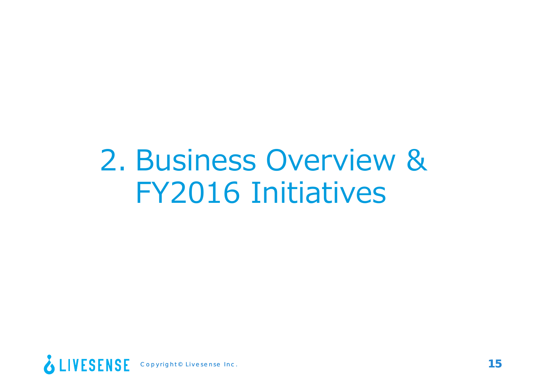# 2. Business Overview & FY2016 Initiatives

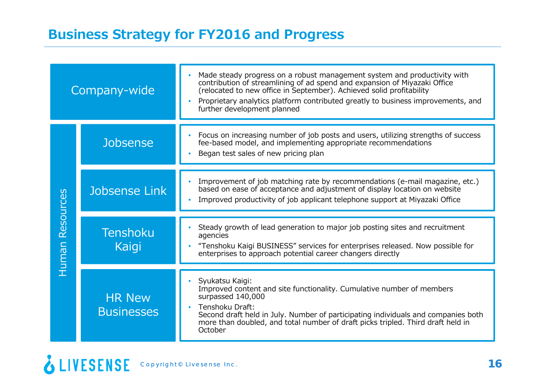|                                   | Company-wide                       | Made steady progress on a robust management system and productivity with<br>contribution of streamlining of ad spend and expansion of Miyazaki Office<br>(relocated to new office in September). Achieved solid profitability<br>Proprietary analytics platform contributed greatly to business improvements, and<br>further development planned |
|-----------------------------------|------------------------------------|--------------------------------------------------------------------------------------------------------------------------------------------------------------------------------------------------------------------------------------------------------------------------------------------------------------------------------------------------|
|                                   | Jobsense                           | Focus on increasing number of job posts and users, utilizing strengths of success<br>fee-based model, and implementing appropriate recommendations<br>Began test sales of new pricing plan<br>$\bullet$                                                                                                                                          |
| Jobsense Link<br><b>Resources</b> |                                    | Improvement of job matching rate by recommendations (e-mail magazine, etc.)<br>based on ease of acceptance and adjustment of display location on website<br>Improved productivity of job applicant telephone support at Miyazaki Office<br>$\bullet$                                                                                             |
| Human                             | <b>Tenshoku</b><br>Kaigi           | Steady growth of lead generation to major job posting sites and recruitment<br>agencies<br>"Tenshoku Kaigi BUSINESS" services for enterprises released. Now possible for<br>enterprises to approach potential career changers directly                                                                                                           |
|                                   | <b>HR New</b><br><b>Businesses</b> | Syukatsu Kaigi:<br>Improved content and site functionality. Cumulative number of members<br>surpassed 140,000<br>Tenshoku Draft:<br>$\bullet$<br>Second draft held in July. Number of participating individuals and companies both<br>more than doubled, and total number of draft picks tripled. Third draft held in<br>October                 |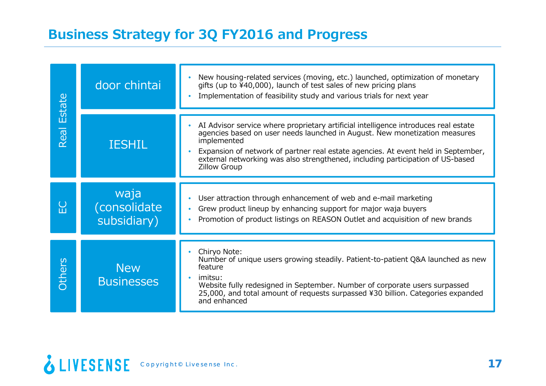# **Business Strategy for 3Q FY2016 and Progress**

| <b>Estate</b> | door chintai                        | New housing-related services (moving, etc.) launched, optimization of monetary<br>gifts (up to $\frac{1}{4}40,000$ ), launch of test sales of new pricing plans<br>Implementation of feasibility study and various trials for next year                                                                                                                                        |
|---------------|-------------------------------------|--------------------------------------------------------------------------------------------------------------------------------------------------------------------------------------------------------------------------------------------------------------------------------------------------------------------------------------------------------------------------------|
| Real          | <b>IESHIL</b>                       | AI Advisor service where proprietary artificial intelligence introduces real estate<br>agencies based on user needs launched in August. New monetization measures<br>implemented<br>Expansion of network of partner real estate agencies. At event held in September,<br>external networking was also strengthened, including participation of US-based<br><b>Zillow Group</b> |
| E             | waja<br>(consolidate<br>subsidiary) | User attraction through enhancement of web and e-mail marketing<br>$\bullet$<br>Grew product lineup by enhancing support for major waja buyers<br>$\bullet$<br>Promotion of product listings on REASON Outlet and acquisition of new brands                                                                                                                                    |
| Others        | <b>New</b><br><b>Businesses</b>     | Chiryo Note:<br>Number of unique users growing steadily. Patient-to-patient Q&A launched as new<br>feature<br>imitsu:<br>$\bullet$<br>Website fully redesigned in September. Number of corporate users surpassed<br>25,000, and total amount of requests surpassed ¥30 billion. Categories expanded<br>and enhanced                                                            |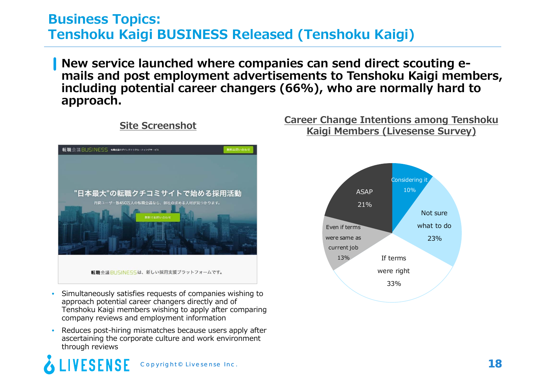## **Business Topics: Tenshoku Kaigi BUSINESS Released (Tenshoku Kaigi)**

**New service launched where companies can send direct scouting emails and post employment advertisements to Tenshoku Kaigi members, including potential career changers (66%), who are normally hard to approach.**



- • Simultaneously satisfies requests of companies wishing to approach potential career changers directly and of Tenshoku Kaigi members wishing to apply after comparing company reviews and employment information
- • Reduces post-hiring mismatches because users apply after ascertaining the corporate culture and work environment through reviews

### *IESENSE* Copyright© Livesense Inc. **18**

### **Career Change Intentions among Tenshoku Kaigi Members (Livesense Survey) Site Screenshot**

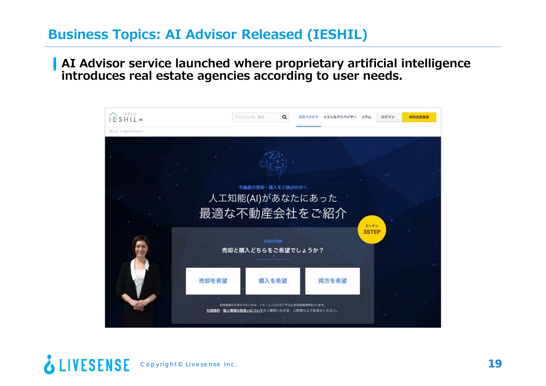# **Business Topics: AI Advisor Released (IESHIL)**

**AI Advisor service launched where proprietary artificial intelligence introduces real estate agencies according to user needs.**



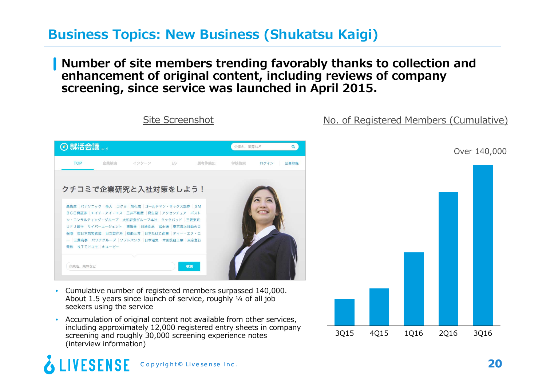# **Business Topics: New Business (Shukatsu Kaigi)**

### **Number of site members trending favorably thanks to collection and enhancement of original content, including reviews of company screening, since service was launched in April 2015.**



Site Screenshot

- Cumulative number of registered members surpassed 140,000. About 1.5 years since launch of service, roughly  $\frac{1}{4}$  of all job seekers using the service
- Accumulation of original content not available from other services, including approximately 12,000 registered entry sheets in company screening and roughly 30,000 screening experience notes (interview information)

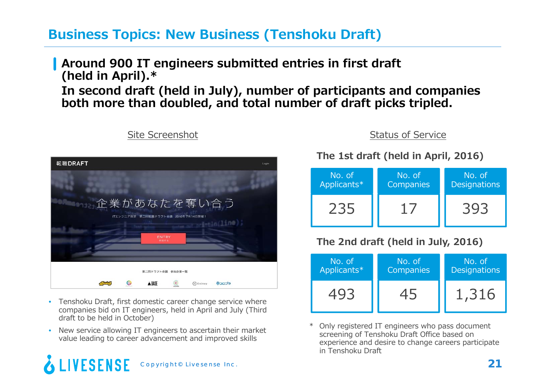# **Business Topics: New Business (Tenshoku Draft)**

**Around 900 IT engineers submitted entries in first draft (held in April).\* In second draft (held in July), number of participants and companies both more than doubled, and total number of draft picks tripled.**

| 転職DRAFT                                                  | Login |
|----------------------------------------------------------|-------|
|                                                          |       |
| 企業があなたを奪い合う<br>ITエンジニア限定 第二回転職ドラフト会議 2016年7月14日開催!       |       |
| intin(line);<br>ENTRY                                    |       |
| 参加する                                                     |       |
| 第二回ドラフト会議 参加企業一覧                                         |       |
| $\odot$<br>A BASE<br>$\circ$<br><b>Qaods</b><br>O Coiney |       |

Site Screenshot

- Tenshoku Draft, first domestic career change service where companies bid on IT engineers, held in April and July (Third draft to be held in October)
- New service allowing IT engineers to ascertain their market value leading to career advancement and improved skills

### **FSFNSF** Copyright© Livesense Inc. **21**

Status of Service

**The 1st draft (held in April, 2016)**

| No. of      | No. of           | No. of              |
|-------------|------------------|---------------------|
| Applicants* | <b>Companies</b> | <b>Designations</b> |
|             |                  |                     |

### **The 2nd draft (held in July, 2016)**



\* Only registered IT engineers who pass document screening of Tenshoku Draft Office based on experience and desire to change careers participate in Tenshoku Draft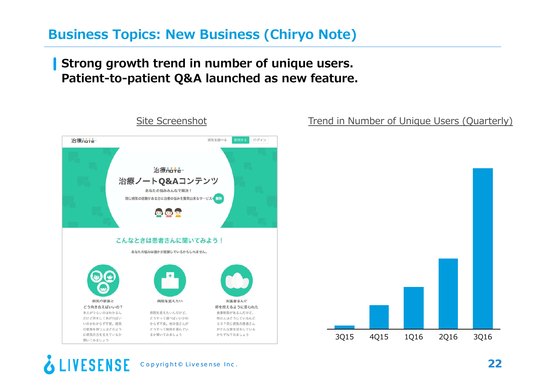# **Business Topics: New Business (Chiryo Note)**

### **Strong growth trend in number of unique users. Patient-to-patient Q&A launched as new feature.**



### Trend in Number of Unique Users (Quarterly)



### **ESENSE** Copyright© Livesense Inc. **22**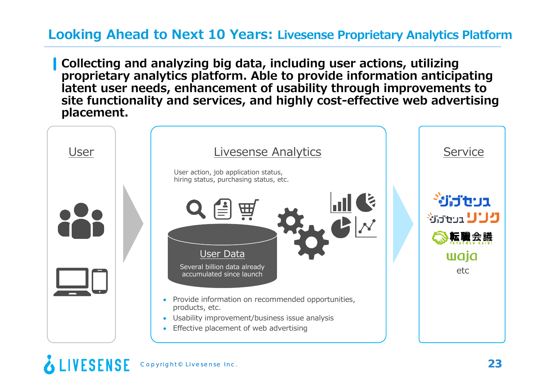# **Looking Ahead to Next 10 Years: Livesense Proprietary Analytics Platform**

**Collecting and analyzing big data, including user actions, utilizing proprietary analytics platform. Able to provide information anticipating latent user needs, enhancement of usability through improvements to site functionality and services, and highly cost-effective web advertising placement.**



FSFNSF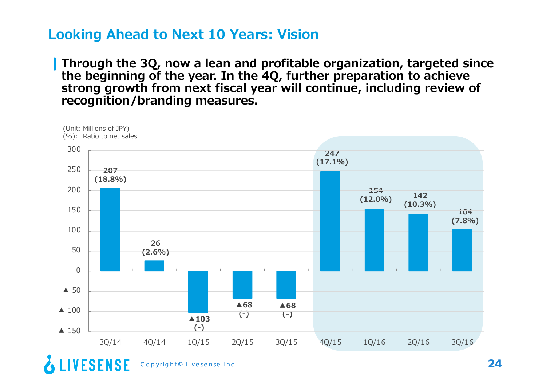### **Looking Ahead to Next 10 Years: Vision**

**Through the 3Q, now a lean and profitable organization, targeted since the beginning of the year. In the 4Q, further preparation to achieve strong growth from next fiscal year will continue, including review of recognition/branding measures.**



Copyright© Livesense Inc. **24**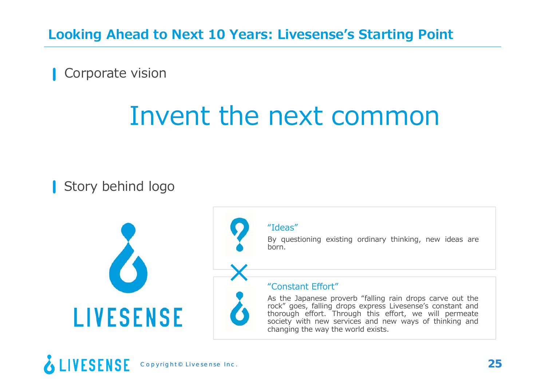**Looking Ahead to Next 10 Years: Livesense's Starting Point**

Corporate vision

# Invent the next common

Story behind logo



### "Ideas"

×

By questioning existing ordinary thinking, new ideas are born.

### "Constant Effort"

As the Japanese proverb "falling rain drops carve out the rock" goes, falling drops express Livesense's constant and thorough effort. Through this effort, we will permeate society with new services and new ways of thinking and changing the way the world exists.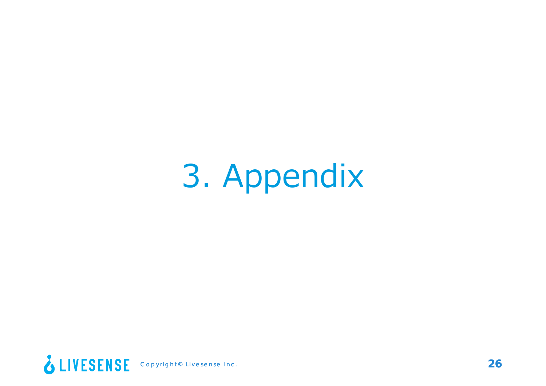# 3. Appendix

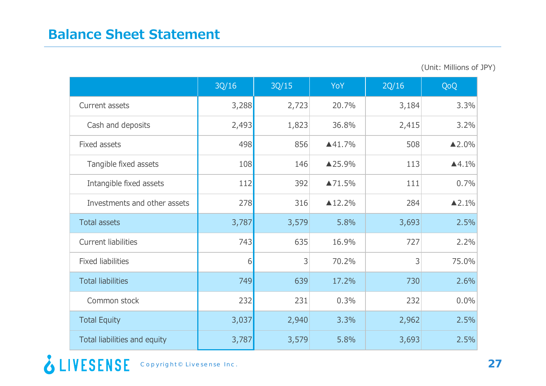| (Unit: Millions of JPY) |  |  |  |
|-------------------------|--|--|--|
|-------------------------|--|--|--|

|                              | 3Q/16 | 3Q/15 | YoY                | 2Q/16 | QoQ                    |
|------------------------------|-------|-------|--------------------|-------|------------------------|
| Current assets               | 3,288 | 2,723 | 20.7%              | 3,184 | 3.3%                   |
| Cash and deposits            | 2,493 | 1,823 | 36.8%              | 2,415 | 3.2%                   |
| Fixed assets                 | 498   | 856   | 441.7%             | 508   | $\blacktriangle$ 2.0%  |
| Tangible fixed assets        | 108   | 146   | ▲25.9%             | 113   | $\blacktriangle 4.1\%$ |
| Intangible fixed assets      | 112   | 392   | ▲71.5%             | 111   | 0.7%                   |
| Investments and other assets | 278   | 316   | $\triangle 12.2\%$ | 284   | $\blacktriangle$ 2.1%  |
| <b>Total assets</b>          | 3,787 | 3,579 | 5.8%               | 3,693 | 2.5%                   |
| <b>Current liabilities</b>   | 743   | 635   | 16.9%              | 727   | 2.2%                   |
| <b>Fixed liabilities</b>     | 6     | 3     | 70.2%              | 3     | 75.0%                  |
| <b>Total liabilities</b>     | 749   | 639   | 17.2%              | 730   | 2.6%                   |
| Common stock                 | 232   | 231   | 0.3%               | 232   | 0.0%                   |
| <b>Total Equity</b>          | 3,037 | 2,940 | 3.3%               | 2,962 | 2.5%                   |
| Total liabilities and equity | 3,787 | 3,579 | 5.8%               | 3,693 | 2.5%                   |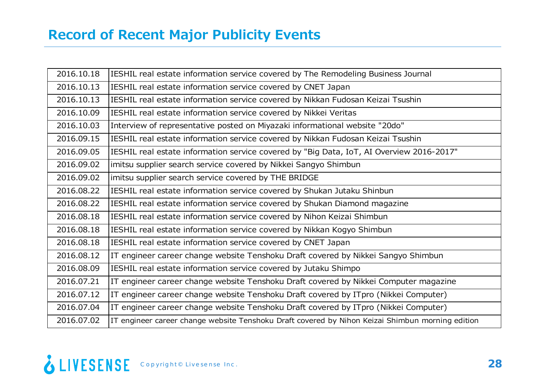| 2016.10.18 | IESHIL real estate information service covered by The Remodeling Business Journal                |
|------------|--------------------------------------------------------------------------------------------------|
| 2016.10.13 | IESHIL real estate information service covered by CNET Japan                                     |
| 2016.10.13 | IESHIL real estate information service covered by Nikkan Fudosan Keizai Tsushin                  |
| 2016.10.09 | IESHIL real estate information service covered by Nikkei Veritas                                 |
| 2016.10.03 | Interview of representative posted on Miyazaki informational website "20do"                      |
| 2016.09.15 | IESHIL real estate information service covered by Nikkan Fudosan Keizai Tsushin                  |
| 2016.09.05 | IESHIL real estate information service covered by "Big Data, IoT, AI Overview 2016-2017"         |
| 2016.09.02 | imitsu supplier search service covered by Nikkei Sangyo Shimbun                                  |
| 2016.09.02 | imitsu supplier search service covered by THE BRIDGE                                             |
| 2016.08.22 | IESHIL real estate information service covered by Shukan Jutaku Shinbun                          |
| 2016.08.22 | IESHIL real estate information service covered by Shukan Diamond magazine                        |
| 2016.08.18 | IESHIL real estate information service covered by Nihon Keizai Shimbun                           |
| 2016.08.18 | IESHIL real estate information service covered by Nikkan Kogyo Shimbun                           |
| 2016.08.18 | IESHIL real estate information service covered by CNET Japan                                     |
| 2016.08.12 | IT engineer career change website Tenshoku Draft covered by Nikkei Sangyo Shimbun                |
| 2016.08.09 | IESHIL real estate information service covered by Jutaku Shimpo                                  |
| 2016.07.21 | IT engineer career change website Tenshoku Draft covered by Nikkei Computer magazine             |
| 2016.07.12 | IT engineer career change website Tenshoku Draft covered by ITpro (Nikkei Computer)              |
| 2016.07.04 | IT engineer career change website Tenshoku Draft covered by ITpro (Nikkei Computer)              |
| 2016.07.02 | IT engineer career change website Tenshoku Draft covered by Nihon Keizai Shimbun morning edition |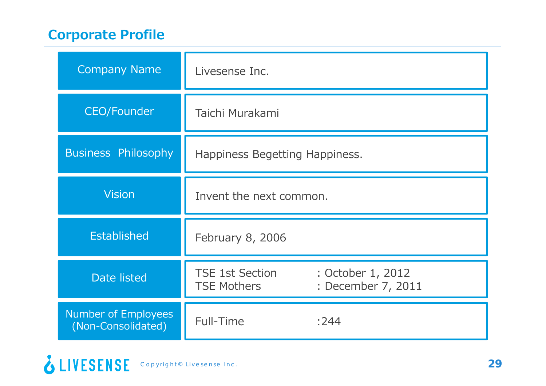# **Corporate Profile**

| <b>Company Name</b>                              | Livesense Inc.                                                                          |  |  |
|--------------------------------------------------|-----------------------------------------------------------------------------------------|--|--|
| CEO/Founder                                      | Taichi Murakami                                                                         |  |  |
| <b>Business Philosophy</b>                       | Happiness Begetting Happiness.                                                          |  |  |
| <b>Vision</b>                                    | Invent the next common.                                                                 |  |  |
| <b>Established</b>                               | February 8, 2006                                                                        |  |  |
| Date listed                                      | <b>TSE 1st Section</b><br>: October 1, 2012<br>: December 7, 2011<br><b>TSE Mothers</b> |  |  |
| <b>Number of Employees</b><br>(Non-Consolidated) | Full-Time<br>:244                                                                       |  |  |